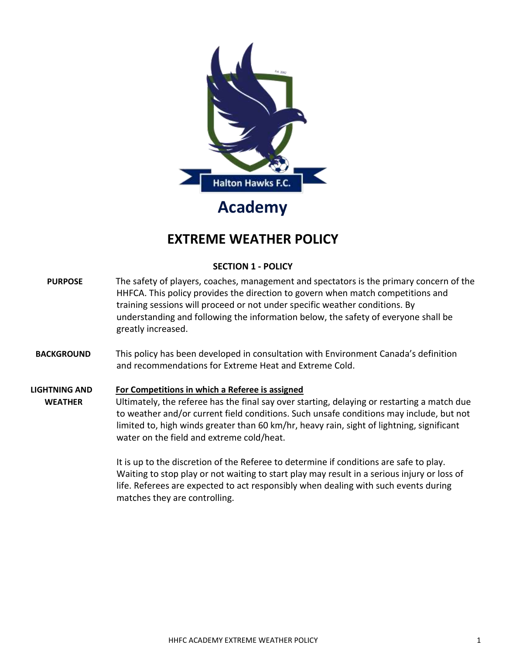

# **EXTREME WEATHER POLICY**

# **SECTION 1 - POLICY**

- **PURPOSE** The safety of players, coaches, management and spectators is the primary concern of the HHFCA. This policy provides the direction to govern when match competitions and training sessions will proceed or not under specific weather conditions. By understanding and following the information below, the safety of everyone shall be greatly increased.
- **BACKGROUND** This policy has been developed in consultation with Environment Canada's definition and recommendations for Extreme Heat and Extreme Cold.

# **LIGHTNING AND For Competitions in which a Referee is assigned WEATHER** Ultimately, the referee has the final say over starting, delaying or restarting a match due to weather and/or current field conditions. Such unsafe conditions may include, but not limited to, high winds greater than 60 km/hr, heavy rain, sight of lightning, significant water on the field and extreme cold/heat.

It is up to the discretion of the Referee to determine if conditions are safe to play. Waiting to stop play or not waiting to start play may result in a serious injury or loss of life. Referees are expected to act responsibly when dealing with such events during matches they are controlling.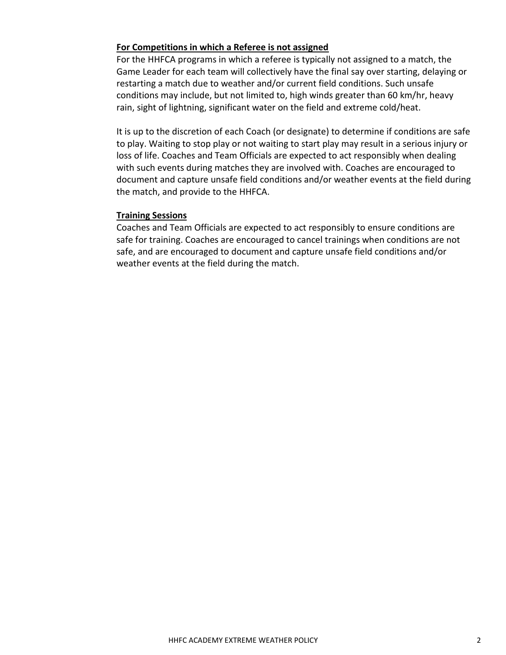## **For Competitions in which a Referee is not assigned**

For the HHFCA programs in which a referee is typically not assigned to a match, the Game Leader for each team will collectively have the final say over starting, delaying or restarting a match due to weather and/or current field conditions. Such unsafe conditions may include, but not limited to, high winds greater than 60 km/hr, heavy rain, sight of lightning, significant water on the field and extreme cold/heat.

It is up to the discretion of each Coach (or designate) to determine if conditions are safe to play. Waiting to stop play or not waiting to start play may result in a serious injury or loss of life. Coaches and Team Officials are expected to act responsibly when dealing with such events during matches they are involved with. Coaches are encouraged to document and capture unsafe field conditions and/or weather events at the field during the match, and provide to the HHFCA.

### **Training Sessions**

Coaches and Team Officials are expected to act responsibly to ensure conditions are safe for training. Coaches are encouraged to cancel trainings when conditions are not safe, and are encouraged to document and capture unsafe field conditions and/or weather events at the field during the match.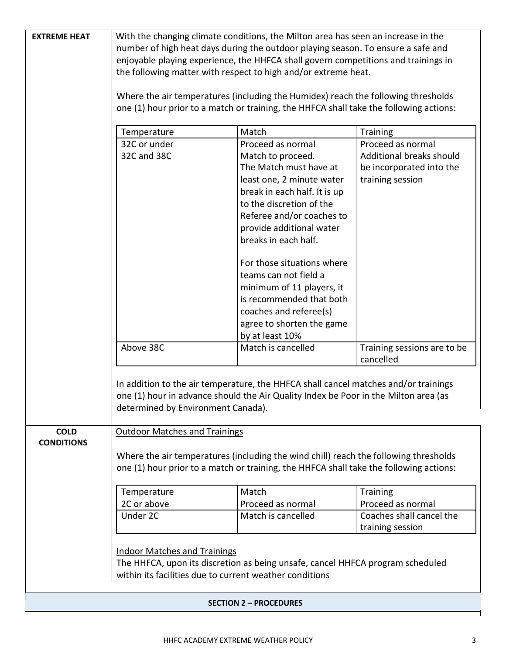| <b>EXTREME HEAT</b>           | With the changing climate conditions, the Milton area has seen an increase in the                                                                                              |                                                                                        |                             |  |
|-------------------------------|--------------------------------------------------------------------------------------------------------------------------------------------------------------------------------|----------------------------------------------------------------------------------------|-----------------------------|--|
|                               | number of high heat days during the outdoor playing season. To ensure a safe and                                                                                               |                                                                                        |                             |  |
|                               |                                                                                                                                                                                | enjoyable playing experience, the HHFCA shall govern competitions and trainings in     |                             |  |
|                               |                                                                                                                                                                                | the following matter with respect to high and/or extreme heat.                         |                             |  |
|                               |                                                                                                                                                                                |                                                                                        |                             |  |
|                               |                                                                                                                                                                                | Where the air temperatures (including the Humidex) reach the following thresholds      |                             |  |
|                               |                                                                                                                                                                                | one (1) hour prior to a match or training, the HHFCA shall take the following actions: |                             |  |
|                               |                                                                                                                                                                                |                                                                                        |                             |  |
|                               | Temperature                                                                                                                                                                    | Match                                                                                  | <b>Training</b>             |  |
|                               | 32C or under                                                                                                                                                                   | Proceed as normal                                                                      | Proceed as normal           |  |
|                               | 32C and 38C                                                                                                                                                                    | Match to proceed.                                                                      | Additional breaks should    |  |
|                               |                                                                                                                                                                                | The Match must have at                                                                 | be incorporated into the    |  |
|                               |                                                                                                                                                                                | least one, 2 minute water                                                              | training session            |  |
|                               |                                                                                                                                                                                | break in each half. It is up                                                           |                             |  |
|                               |                                                                                                                                                                                | to the discretion of the                                                               |                             |  |
|                               |                                                                                                                                                                                | Referee and/or coaches to                                                              |                             |  |
|                               |                                                                                                                                                                                | provide additional water                                                               |                             |  |
|                               |                                                                                                                                                                                | breaks in each half.                                                                   |                             |  |
|                               |                                                                                                                                                                                |                                                                                        |                             |  |
|                               |                                                                                                                                                                                | For those situations where                                                             |                             |  |
|                               |                                                                                                                                                                                | teams can not field a                                                                  |                             |  |
|                               |                                                                                                                                                                                | minimum of 11 players, it                                                              |                             |  |
|                               |                                                                                                                                                                                | is recommended that both                                                               |                             |  |
|                               |                                                                                                                                                                                | coaches and referee(s)                                                                 |                             |  |
|                               |                                                                                                                                                                                | agree to shorten the game                                                              |                             |  |
|                               |                                                                                                                                                                                | by at least 10%                                                                        |                             |  |
|                               | Above 38C                                                                                                                                                                      | Match is cancelled                                                                     | Training sessions are to be |  |
|                               |                                                                                                                                                                                |                                                                                        | cancelled                   |  |
|                               |                                                                                                                                                                                |                                                                                        |                             |  |
|                               |                                                                                                                                                                                | In addition to the air temperature, the HHFCA shall cancel matches and/or trainings    |                             |  |
|                               |                                                                                                                                                                                | one (1) hour in advance should the Air Quality Index be Poor in the Milton area (as    |                             |  |
|                               | determined by Environment Canada).                                                                                                                                             |                                                                                        |                             |  |
|                               |                                                                                                                                                                                |                                                                                        |                             |  |
| <b>COLD</b>                   | <b>Outdoor Matches and Trainings</b>                                                                                                                                           |                                                                                        |                             |  |
| <b>CONDITIONS</b>             |                                                                                                                                                                                |                                                                                        |                             |  |
|                               |                                                                                                                                                                                |                                                                                        |                             |  |
|                               | Where the air temperatures (including the wind chill) reach the following thresholds<br>one (1) hour prior to a match or training, the HHFCA shall take the following actions: |                                                                                        |                             |  |
|                               |                                                                                                                                                                                |                                                                                        |                             |  |
|                               | Temperature                                                                                                                                                                    | Match                                                                                  | <b>Training</b>             |  |
|                               | 2C or above                                                                                                                                                                    | Proceed as normal                                                                      | Proceed as normal           |  |
|                               | Under 2C                                                                                                                                                                       | Match is cancelled                                                                     | Coaches shall cancel the    |  |
|                               |                                                                                                                                                                                |                                                                                        | training session            |  |
|                               |                                                                                                                                                                                |                                                                                        |                             |  |
|                               | <b>Indoor Matches and Trainings</b>                                                                                                                                            |                                                                                        |                             |  |
|                               |                                                                                                                                                                                | The HHFCA, upon its discretion as being unsafe, cancel HHFCA program scheduled         |                             |  |
|                               | within its facilities due to current weather conditions                                                                                                                        |                                                                                        |                             |  |
|                               |                                                                                                                                                                                |                                                                                        |                             |  |
| <b>SECTION 2 - PROCEDURES</b> |                                                                                                                                                                                |                                                                                        |                             |  |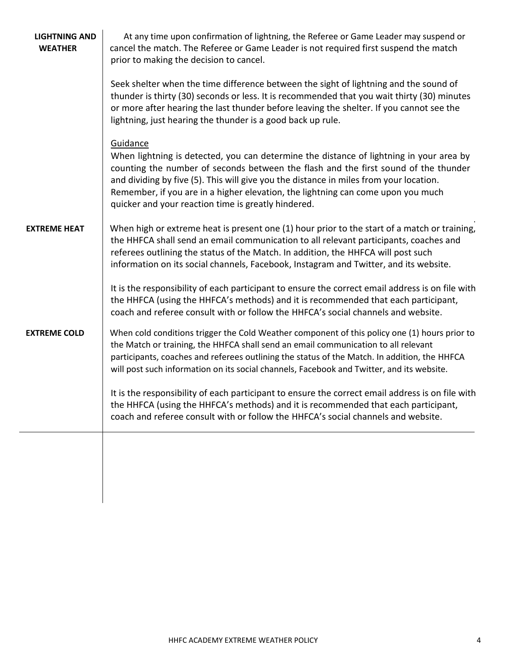| <b>LIGHTNING AND</b><br><b>WEATHER</b> | At any time upon confirmation of lightning, the Referee or Game Leader may suspend or<br>cancel the match. The Referee or Game Leader is not required first suspend the match<br>prior to making the decision to cancel.                                                                                                                                                                                                        |  |  |
|----------------------------------------|---------------------------------------------------------------------------------------------------------------------------------------------------------------------------------------------------------------------------------------------------------------------------------------------------------------------------------------------------------------------------------------------------------------------------------|--|--|
|                                        | Seek shelter when the time difference between the sight of lightning and the sound of<br>thunder is thirty (30) seconds or less. It is recommended that you wait thirty (30) minutes<br>or more after hearing the last thunder before leaving the shelter. If you cannot see the<br>lightning, just hearing the thunder is a good back up rule.                                                                                 |  |  |
|                                        | Guidance<br>When lightning is detected, you can determine the distance of lightning in your area by<br>counting the number of seconds between the flash and the first sound of the thunder<br>and dividing by five (5). This will give you the distance in miles from your location.<br>Remember, if you are in a higher elevation, the lightning can come upon you much<br>quicker and your reaction time is greatly hindered. |  |  |
| <b>EXTREME HEAT</b>                    | When high or extreme heat is present one (1) hour prior to the start of a match or training,<br>the HHFCA shall send an email communication to all relevant participants, coaches and<br>referees outlining the status of the Match. In addition, the HHFCA will post such<br>information on its social channels, Facebook, Instagram and Twitter, and its website.                                                             |  |  |
|                                        | It is the responsibility of each participant to ensure the correct email address is on file with<br>the HHFCA (using the HHFCA's methods) and it is recommended that each participant,<br>coach and referee consult with or follow the HHFCA's social channels and website.                                                                                                                                                     |  |  |
| <b>EXTREME COLD</b>                    | When cold conditions trigger the Cold Weather component of this policy one (1) hours prior to<br>the Match or training, the HHFCA shall send an email communication to all relevant<br>participants, coaches and referees outlining the status of the Match. In addition, the HHFCA<br>will post such information on its social channels, Facebook and Twitter, and its website.                                                |  |  |
|                                        | It is the responsibility of each participant to ensure the correct email address is on file with<br>the HHFCA (using the HHFCA's methods) and it is recommended that each participant,<br>coach and referee consult with or follow the HHFCA's social channels and website.                                                                                                                                                     |  |  |
|                                        |                                                                                                                                                                                                                                                                                                                                                                                                                                 |  |  |
|                                        |                                                                                                                                                                                                                                                                                                                                                                                                                                 |  |  |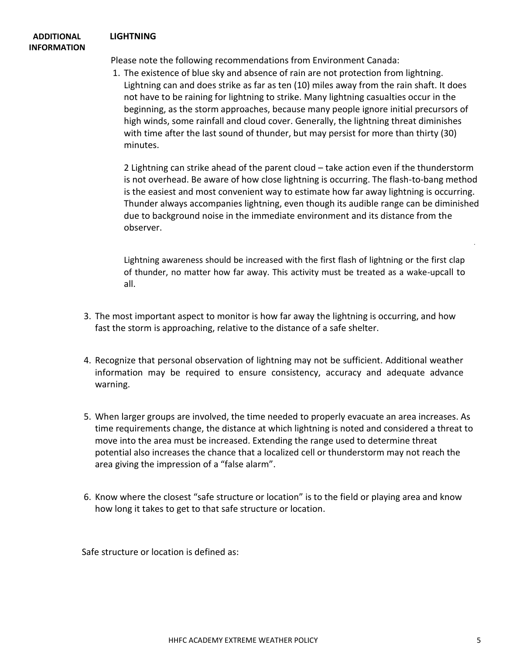#### **ADDITIONAL LIGHTNING INFORMATION**

Please note the following recommendations from Environment Canada:

1. The existence of blue sky and absence of rain are not protection from lightning. Lightning can and does strike as far as ten (10) miles away from the rain shaft. It does not have to be raining for lightning to strike. Many lightning casualties occur in the beginning, as the storm approaches, because many people ignore initial precursors of high winds, some rainfall and cloud cover. Generally, the lightning threat diminishes with time after the last sound of thunder, but may persist for more than thirty (30) minutes.

2 Lightning can strike ahead of the parent cloud – take action even if the thunderstorm is not overhead. Be aware of how close lightning is occurring. The flash-to-bang method is the easiest and most convenient way to estimate how far away lightning is occurring. Thunder always accompanies lightning, even though its audible range can be diminished due to background noise in the immediate environment and its distance from the observer.

Lightning awareness should be increased with the first flash of lightning or the first clap of thunder, no matter how far away. This activity must be treated as a wake-upcall to all.

- 3. The most important aspect to monitor is how far away the lightning is occurring, and how fast the storm is approaching, relative to the distance of a safe shelter.
- 4. Recognize that personal observation of lightning may not be sufficient. Additional weather information may be required to ensure consistency, accuracy and adequate advance warning.
- 5. When larger groups are involved, the time needed to properly evacuate an area increases. As time requirements change, the distance at which lightning is noted and considered a threat to move into the area must be increased. Extending the range used to determine threat potential also increases the chance that a localized cell or thunderstorm may not reach the area giving the impression of a "false alarm".
- 6. Know where the closest "safe structure or location" is to the field or playing area and know how long it takes to get to that safe structure or location.

Safe structure or location is defined as: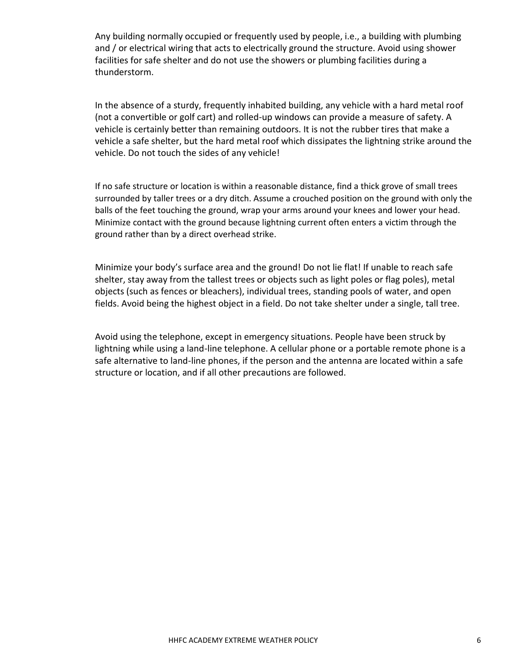Any building normally occupied or frequently used by people, i.e., a building with plumbing and / or electrical wiring that acts to electrically ground the structure. Avoid using shower facilities for safe shelter and do not use the showers or plumbing facilities during a thunderstorm.

In the absence of a sturdy, frequently inhabited building, any vehicle with a hard metal roof (not a convertible or golf cart) and rolled-up windows can provide a measure of safety. A vehicle is certainly better than remaining outdoors. It is not the rubber tires that make a vehicle a safe shelter, but the hard metal roof which dissipates the lightning strike around the vehicle. Do not touch the sides of any vehicle!

If no safe structure or location is within a reasonable distance, find a thick grove of small trees surrounded by taller trees or a dry ditch. Assume a crouched position on the ground with only the balls of the feet touching the ground, wrap your arms around your knees and lower your head. Minimize contact with the ground because lightning current often enters a victim through the ground rather than by a direct overhead strike.

Minimize your body's surface area and the ground! Do not lie flat! If unable to reach safe shelter, stay away from the tallest trees or objects such as light poles or flag poles), metal objects (such as fences or bleachers), individual trees, standing pools of water, and open fields. Avoid being the highest object in a field. Do not take shelter under a single, tall tree.

Avoid using the telephone, except in emergency situations. People have been struck by lightning while using a land-line telephone. A cellular phone or a portable remote phone is a safe alternative to land-line phones, if the person and the antenna are located within a safe structure or location, and if all other precautions are followed.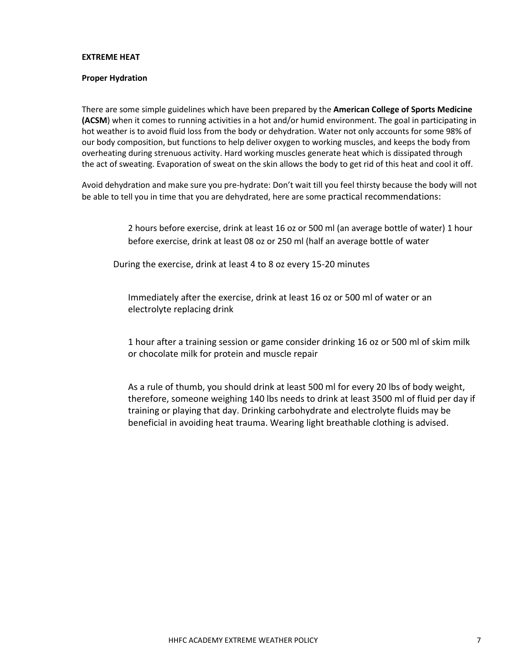#### **EXTREME HEAT**

#### **Proper Hydration**

There are some simple guidelines which have been prepared by the **American College of Sports Medicine (ACSM**) when it comes to running activities in a hot and/or humid environment. The goal in participating in hot weather is to avoid fluid loss from the body or dehydration. Water not only accounts for some 98% of our body composition, but functions to help deliver oxygen to working muscles, and keeps the body from overheating during strenuous activity. Hard working muscles generate heat which is dissipated through the act of sweating. Evaporation of sweat on the skin allows the body to get rid of this heat and cool it off.

Avoid dehydration and make sure you pre-hydrate: Don't wait till you feel thirsty because the body will not be able to tell you in time that you are dehydrated, here are some practical recommendations:

> 2 hours before exercise, drink at least 16 oz or 500 ml (an average bottle of water) 1 hour before exercise, drink at least 08 oz or 250 ml (half an average bottle of water

During the exercise, drink at least 4 to 8 oz every 15-20 minutes

Immediately after the exercise, drink at least 16 oz or 500 ml of water or an electrolyte replacing drink

1 hour after a training session or game consider drinking 16 oz or 500 ml of skim milk or chocolate milk for protein and muscle repair

As a rule of thumb, you should drink at least 500 ml for every 20 lbs of body weight, therefore, someone weighing 140 lbs needs to drink at least 3500 ml of fluid per day if training or playing that day. Drinking carbohydrate and electrolyte fluids may be beneficial in avoiding heat trauma. Wearing light breathable clothing is advised.